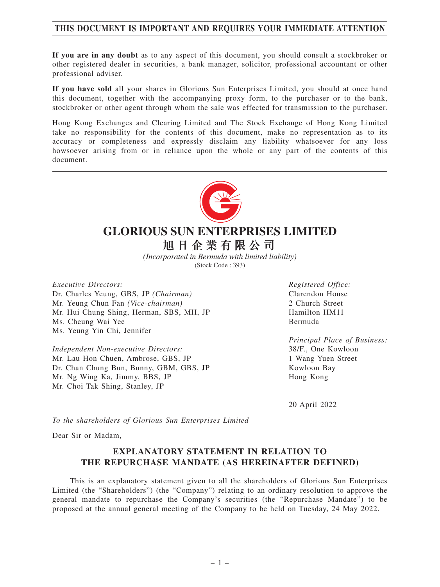# **THIS DOCUMENT IS IMPORTANT AND REQUIRES YOUR IMMEDIATE ATTENTION**

**If you are in any doubt** as to any aspect of this document, you should consult a stockbroker or other registered dealer in securities, a bank manager, solicitor, professional accountant or other professional adviser.

**If you have sold** all your shares in Glorious Sun Enterprises Limited, you should at once hand this document, together with the accompanying proxy form, to the purchaser or to the bank, stockbroker or other agent through whom the sale was effected for transmission to the purchaser.

Hong Kong Exchanges and Clearing Limited and The Stock Exchange of Hong Kong Limited take no responsibility for the contents of this document, make no representation as to its accuracy or completeness and expressly disclaim any liability whatsoever for any loss howsoever arising from or in reliance upon the whole or any part of the contents of this document.



# **GLORIOUS SUN ENTERPRISES LIMITED**

**旭日企業有限公司**

*(Incorporated in Bermuda with limited liability)* (Stock Code : 393)

*Executive Directors:* Dr. Charles Yeung, GBS, JP *(Chairman)* Mr. Yeung Chun Fan *(Vice-chairman)* Mr. Hui Chung Shing, Herman, SBS, MH, JP Ms. Cheung Wai Yee Ms. Yeung Yin Chi, Jennifer

*Independent Non-executive Directors:* Mr. Lau Hon Chuen, Ambrose, GBS, JP Dr. Chan Chung Bun, Bunny, GBM, GBS, JP Mr. Ng Wing Ka, Jimmy, BBS, JP Mr. Choi Tak Shing, Stanley, JP

*Registered Office:* Clarendon House 2 Church Street Hamilton HM11 Bermuda

*Principal Place of Business:* 38/F., One Kowloon 1 Wang Yuen Street Kowloon Bay Hong Kong

20 April 2022

*To the shareholders of Glorious Sun Enterprises Limited*

Dear Sir or Madam,

## **EXPLANATORY STATEMENT IN RELATION TO THE REPURCHASE MANDATE (AS HEREINAFTER DEFINED)**

This is an explanatory statement given to all the shareholders of Glorious Sun Enterprises Limited (the "Shareholders") (the "Company") relating to an ordinary resolution to approve the general mandate to repurchase the Company's securities (the "Repurchase Mandate") to be proposed at the annual general meeting of the Company to be held on Tuesday, 24 May 2022.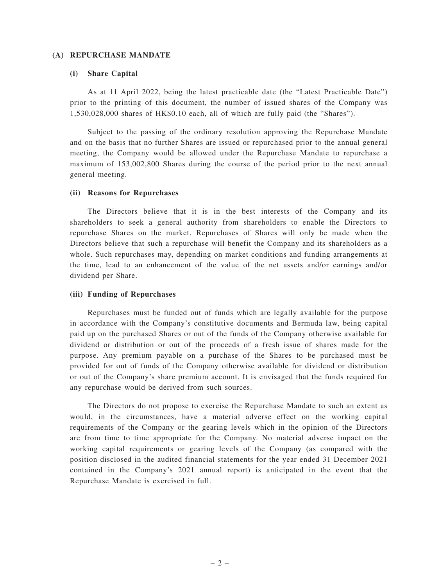#### **(A) REPURCHASE MANDATE**

#### **(i) Share Capital**

As at 11 April 2022, being the latest practicable date (the "Latest Practicable Date") prior to the printing of this document, the number of issued shares of the Company was 1,530,028,000 shares of HK\$0.10 each, all of which are fully paid (the "Shares").

Subject to the passing of the ordinary resolution approving the Repurchase Mandate and on the basis that no further Shares are issued or repurchased prior to the annual general meeting, the Company would be allowed under the Repurchase Mandate to repurchase a maximum of 153,002,800 Shares during the course of the period prior to the next annual general meeting.

#### **(ii) Reasons for Repurchases**

The Directors believe that it is in the best interests of the Company and its shareholders to seek a general authority from shareholders to enable the Directors to repurchase Shares on the market. Repurchases of Shares will only be made when the Directors believe that such a repurchase will benefit the Company and its shareholders as a whole. Such repurchases may, depending on market conditions and funding arrangements at the time, lead to an enhancement of the value of the net assets and/or earnings and/or dividend per Share.

#### **(iii) Funding of Repurchases**

Repurchases must be funded out of funds which are legally available for the purpose in accordance with the Company's constitutive documents and Bermuda law, being capital paid up on the purchased Shares or out of the funds of the Company otherwise available for dividend or distribution or out of the proceeds of a fresh issue of shares made for the purpose. Any premium payable on a purchase of the Shares to be purchased must be provided for out of funds of the Company otherwise available for dividend or distribution or out of the Company's share premium account. It is envisaged that the funds required for any repurchase would be derived from such sources.

The Directors do not propose to exercise the Repurchase Mandate to such an extent as would, in the circumstances, have a material adverse effect on the working capital requirements of the Company or the gearing levels which in the opinion of the Directors are from time to time appropriate for the Company. No material adverse impact on the working capital requirements or gearing levels of the Company (as compared with the position disclosed in the audited financial statements for the year ended 31 December 2021 contained in the Company's 2021 annual report) is anticipated in the event that the Repurchase Mandate is exercised in full.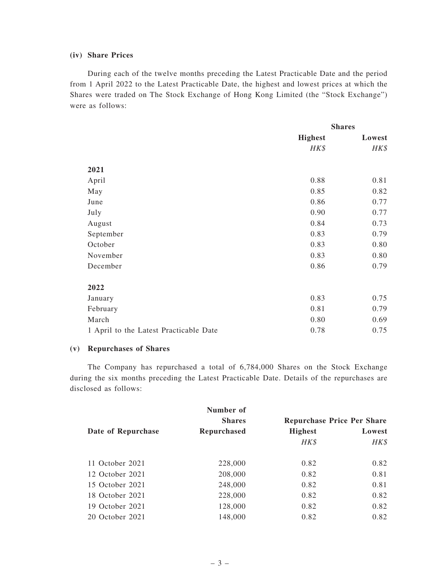## **(iv) Share Prices**

During each of the twelve months preceding the Latest Practicable Date and the period from 1 April 2022 to the Latest Practicable Date, the highest and lowest prices at which the Shares were traded on The Stock Exchange of Hong Kong Limited (the "Stock Exchange") were as follows:

|                                        | <b>Shares</b>  |        |
|----------------------------------------|----------------|--------|
|                                        | <b>Highest</b> | Lowest |
|                                        | HK\$           | HK\$   |
| 2021                                   |                |        |
|                                        |                |        |
| April                                  | 0.88           | 0.81   |
| May                                    | 0.85           | 0.82   |
| June                                   | 0.86           | 0.77   |
| July                                   | 0.90           | 0.77   |
| August                                 | 0.84           | 0.73   |
| September                              | 0.83           | 0.79   |
| October                                | 0.83           | 0.80   |
| November                               | 0.83           | 0.80   |
| December                               | 0.86           | 0.79   |
| 2022                                   |                |        |
| January                                | 0.83           | 0.75   |
| February                               | 0.81           | 0.79   |
| March                                  | 0.80           | 0.69   |
| 1 April to the Latest Practicable Date | 0.78           | 0.75   |

#### **(v) Repurchases of Shares**

The Company has repurchased a total of 6,784,000 Shares on the Stock Exchange during the six months preceding the Latest Practicable Date. Details of the repurchases are disclosed as follows:

|                    | Number of          |                                   |        |
|--------------------|--------------------|-----------------------------------|--------|
|                    | <b>Shares</b>      | <b>Repurchase Price Per Share</b> |        |
| Date of Repurchase | <b>Repurchased</b> | <b>Highest</b>                    | Lowest |
|                    |                    | HK\$                              | HK\$   |
| 11 October 2021    | 228,000            | 0.82                              | 0.82   |
| 12 October 2021    | 208,000            | 0.82                              | 0.81   |
| 15 October 2021    | 248,000            | 0.82                              | 0.81   |
| 18 October 2021    | 228,000            | 0.82                              | 0.82   |
| 19 October 2021    | 128,000            | 0.82                              | 0.82   |
| 20 October 2021    | 148,000            | 0.82                              | 0.82   |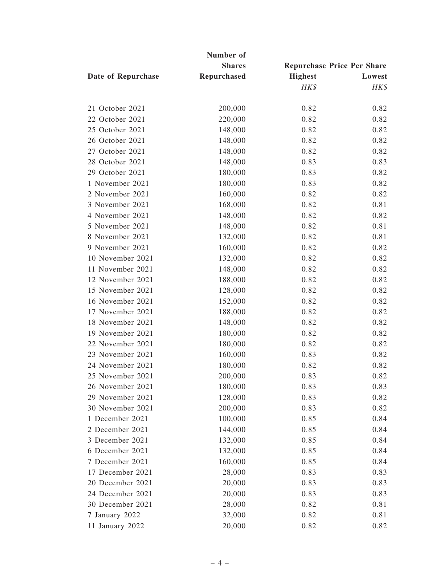| Number of          |               |                                                               |      |  |  |
|--------------------|---------------|---------------------------------------------------------------|------|--|--|
|                    | <b>Shares</b> | <b>Repurchase Price Per Share</b><br><b>Highest</b><br>Lowest |      |  |  |
| Date of Repurchase | Repurchased   |                                                               |      |  |  |
|                    |               | HK\$                                                          | HK\$ |  |  |
| 21 October 2021    | 200,000       | 0.82                                                          | 0.82 |  |  |
| 22 October 2021    | 220,000       | 0.82                                                          | 0.82 |  |  |
| 25 October 2021    | 148,000       | 0.82                                                          | 0.82 |  |  |
| 26 October 2021    | 148,000       | 0.82                                                          | 0.82 |  |  |
| 27 October 2021    | 148,000       | 0.82                                                          | 0.82 |  |  |
| 28 October 2021    | 148,000       | 0.83                                                          | 0.83 |  |  |
| 29 October 2021    | 180,000       | 0.83                                                          | 0.82 |  |  |
| 1 November 2021    | 180,000       | 0.83                                                          | 0.82 |  |  |
| 2 November 2021    | 160,000       | 0.82                                                          | 0.82 |  |  |
| 3 November 2021    | 168,000       | 0.82                                                          | 0.81 |  |  |
| 4 November 2021    | 148,000       | 0.82                                                          | 0.82 |  |  |
| 5 November 2021    | 148,000       | 0.82                                                          | 0.81 |  |  |
| 8 November 2021    | 132,000       | 0.82                                                          | 0.81 |  |  |
| 9 November 2021    | 160,000       | 0.82                                                          | 0.82 |  |  |
| 10 November 2021   | 132,000       | 0.82                                                          | 0.82 |  |  |
| 11 November 2021   | 148,000       | 0.82                                                          | 0.82 |  |  |
| 12 November 2021   | 188,000       | 0.82                                                          | 0.82 |  |  |
| 15 November 2021   | 128,000       | 0.82                                                          | 0.82 |  |  |
| 16 November 2021   | 152,000       | 0.82                                                          | 0.82 |  |  |
| 17 November 2021   | 188,000       | 0.82                                                          | 0.82 |  |  |
| 18 November 2021   | 148,000       | 0.82                                                          | 0.82 |  |  |
| 19 November 2021   | 180,000       | 0.82                                                          | 0.82 |  |  |
| 22 November 2021   | 180,000       | 0.82                                                          | 0.82 |  |  |
| 23 November 2021   | 160,000       | 0.83                                                          | 0.82 |  |  |
| 24 November 2021   | 180,000       | 0.82                                                          | 0.82 |  |  |
| 25 November 2021   | 200,000       | 0.83                                                          | 0.82 |  |  |
| 26 November 2021   | 180,000       | 0.83                                                          | 0.83 |  |  |
| 29 November 2021   | 128,000       | 0.83                                                          | 0.82 |  |  |
| 30 November 2021   | 200,000       | 0.83                                                          | 0.82 |  |  |
| 1 December 2021    | 100,000       | 0.85                                                          | 0.84 |  |  |
| 2 December 2021    | 144,000       | 0.85                                                          | 0.84 |  |  |
| 3 December 2021    | 132,000       | 0.85                                                          | 0.84 |  |  |
| 6 December 2021    | 132,000       | 0.85                                                          | 0.84 |  |  |
| 7 December 2021    | 160,000       | 0.85                                                          | 0.84 |  |  |
| 17 December 2021   | 28,000        | 0.83                                                          | 0.83 |  |  |
| 20 December 2021   | 20,000        | 0.83                                                          | 0.83 |  |  |
| 24 December 2021   | 20,000        | 0.83                                                          | 0.83 |  |  |
| 30 December 2021   | 28,000        | 0.82                                                          | 0.81 |  |  |
| 7 January 2022     | 32,000        | 0.82                                                          | 0.81 |  |  |
| 11 January 2022    | 20,000        | 0.82                                                          | 0.82 |  |  |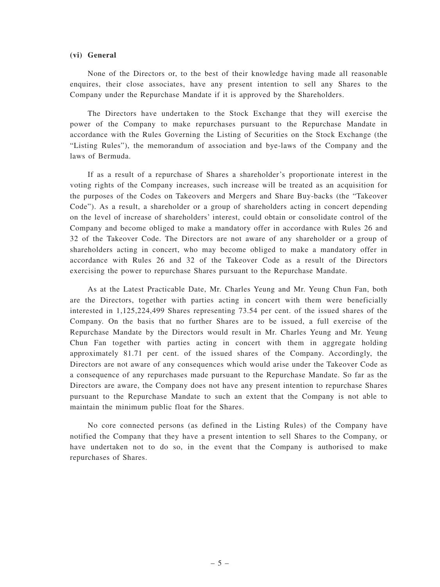#### **(vi) General**

None of the Directors or, to the best of their knowledge having made all reasonable enquires, their close associates, have any present intention to sell any Shares to the Company under the Repurchase Mandate if it is approved by the Shareholders.

The Directors have undertaken to the Stock Exchange that they will exercise the power of the Company to make repurchases pursuant to the Repurchase Mandate in accordance with the Rules Governing the Listing of Securities on the Stock Exchange (the "Listing Rules"), the memorandum of association and bye-laws of the Company and the laws of Bermuda.

If as a result of a repurchase of Shares a shareholder's proportionate interest in the voting rights of the Company increases, such increase will be treated as an acquisition for the purposes of the Codes on Takeovers and Mergers and Share Buy-backs (the "Takeover Code"). As a result, a shareholder or a group of shareholders acting in concert depending on the level of increase of shareholders' interest, could obtain or consolidate control of the Company and become obliged to make a mandatory offer in accordance with Rules 26 and 32 of the Takeover Code. The Directors are not aware of any shareholder or a group of shareholders acting in concert, who may become obliged to make a mandatory offer in accordance with Rules 26 and 32 of the Takeover Code as a result of the Directors exercising the power to repurchase Shares pursuant to the Repurchase Mandate.

As at the Latest Practicable Date, Mr. Charles Yeung and Mr. Yeung Chun Fan, both are the Directors, together with parties acting in concert with them were beneficially interested in 1,125,224,499 Shares representing 73.54 per cent. of the issued shares of the Company. On the basis that no further Shares are to be issued, a full exercise of the Repurchase Mandate by the Directors would result in Mr. Charles Yeung and Mr. Yeung Chun Fan together with parties acting in concert with them in aggregate holding approximately 81.71 per cent. of the issued shares of the Company. Accordingly, the Directors are not aware of any consequences which would arise under the Takeover Code as a consequence of any repurchases made pursuant to the Repurchase Mandate. So far as the Directors are aware, the Company does not have any present intention to repurchase Shares pursuant to the Repurchase Mandate to such an extent that the Company is not able to maintain the minimum public float for the Shares.

No core connected persons (as defined in the Listing Rules) of the Company have notified the Company that they have a present intention to sell Shares to the Company, or have undertaken not to do so, in the event that the Company is authorised to make repurchases of Shares.